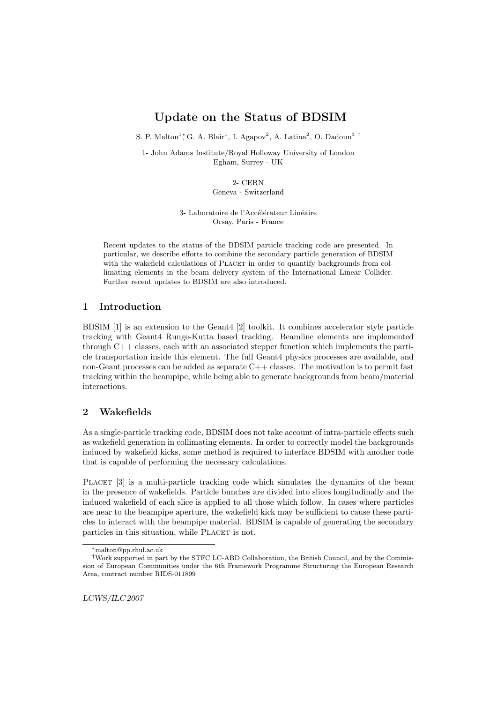# Update on the Status of BDSIM

S. P. Malton<sup>1</sup><sup>\*</sup>, G. A. Blair<sup>1</sup>, I. Agapov<sup>2</sup>, A. Latina<sup>2</sup>, O. Dadoun<sup>3</sup><sup>†</sup>

1- John Adams Institute/Royal Holloway University of London Egham, Surrey - UK

> 2- CERN Geneva - Switzerland

3- Laboratoire de l'Accélérateur Linéaire Orsay, Paris - France

Recent updates to the status of the BDSIM particle tracking code are presented. In particular, we describe efforts to combine the secondary particle generation of BDSIM with the wakefield calculations of PLACET in order to quantify backgrounds from collimating elements in the beam delivery system of the International Linear Collider. Further recent updates to BDSIM are also introduced.

### 1 Introduction

BDSIM [1] is an extension to the Geant4 [2] toolkit. It combines accelerator style particle tracking with Geant4 Runge-Kutta based tracking. Beamline elements are implemented through C++ classes, each with an associated stepper function which implements the particle transportation inside this element. The full Geant4 physics processes are available, and non-Geant processes can be added as separate  $C++$  classes. The motivation is to permit fast tracking within the beampipe, while being able to generate backgrounds from beam/material interactions.

## 2 Wakefields

As a single-particle tracking code, BDSIM does not take account of intra-particle effects such as wakefield generation in collimating elements. In order to correctly model the backgrounds induced by wakefield kicks, some method is required to interface BDSIM with another code that is capable of performing the necessary calculations.

PLACET [3] is a multi-particle tracking code which simulates the dynamics of the beam in the presence of wakefields. Particle bunches are divided into slices longitudinally and the induced wakefield of each slice is applied to all those which follow. In cases where particles are near to the beampipe aperture, the wakefield kick may be sufficient to cause these particles to interact with the beampipe material. BDSIM is capable of generating the secondary particles in this situation, while PLACET is not.

<sup>∗</sup>malton@pp.rhul.ac.uk

<sup>†</sup>Work supported in part by the STFC LC-ABD Collaboration, the British Council, and by the Commission of European Communities under the 6th Framework Programme Structuring the European Research Area, contract number RIDS-011899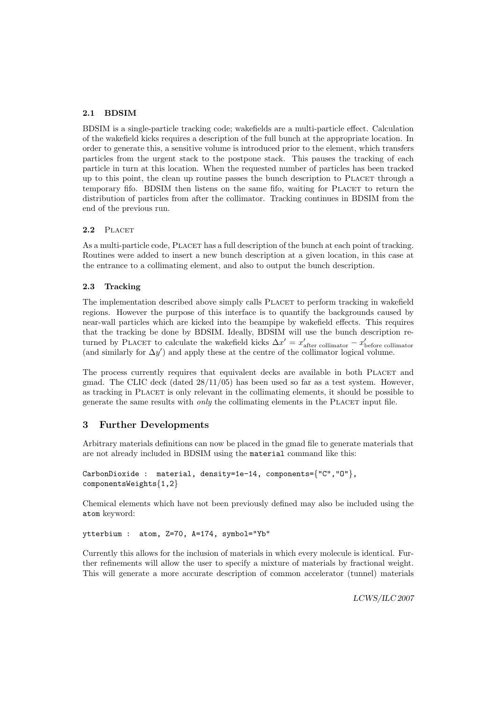### 2.1 BDSIM

BDSIM is a single-particle tracking code; wakefields are a multi-particle effect. Calculation of the wakefield kicks requires a description of the full bunch at the appropriate location. In order to generate this, a sensitive volume is introduced prior to the element, which transfers particles from the urgent stack to the postpone stack. This pauses the tracking of each particle in turn at this location. When the requested number of particles has been tracked up to this point, the clean up routine passes the bunch description to PLACET through a temporary fifo. BDSIM then listens on the same fifo, waiting for PLACET to return the distribution of particles from after the collimator. Tracking continues in BDSIM from the end of the previous run.

#### 2.2 PLACET

As a multi-particle code, PLACET has a full description of the bunch at each point of tracking. Routines were added to insert a new bunch description at a given location, in this case at the entrance to a collimating element, and also to output the bunch description.

#### 2.3 Tracking

The implementation described above simply calls PLACET to perform tracking in wakefield regions. However the purpose of this interface is to quantify the backgrounds caused by near-wall particles which are kicked into the beampipe by wakefield effects. This requires that the tracking be done by BDSIM. Ideally, BDSIM will use the bunch description returned by PLACET to calculate the wakefield kicks  $\Delta x' = x'_{\text{after collimator}} - x'_{\text{before collimator}}$ (and similarly for  $\Delta y'$ ) and apply these at the centre of the collimator logical volume.

The process currently requires that equivalent decks are available in both PLACET and gmad. The CLIC deck (dated 28/11/05) has been used so far as a test system. However, as tracking in Placet is only relevant in the collimating elements, it should be possible to generate the same results with *only* the collimating elements in the PLACET input file.

#### 3 Further Developments

Arbitrary materials definitions can now be placed in the gmad file to generate materials that are not already included in BDSIM using the material command like this:

```
CarbonDioxide : material, density=1e-14, components={"C","O"},
componentsWeights{1,2}
```
Chemical elements which have not been previously defined may also be included using the atom keyword:

ytterbium : atom, Z=70, A=174, symbol="Yb"

Currently this allows for the inclusion of materials in which every molecule is identical. Further refinements will allow the user to specify a mixture of materials by fractional weight. This will generate a more accurate description of common accelerator (tunnel) materials

LCWS/ILC 2007